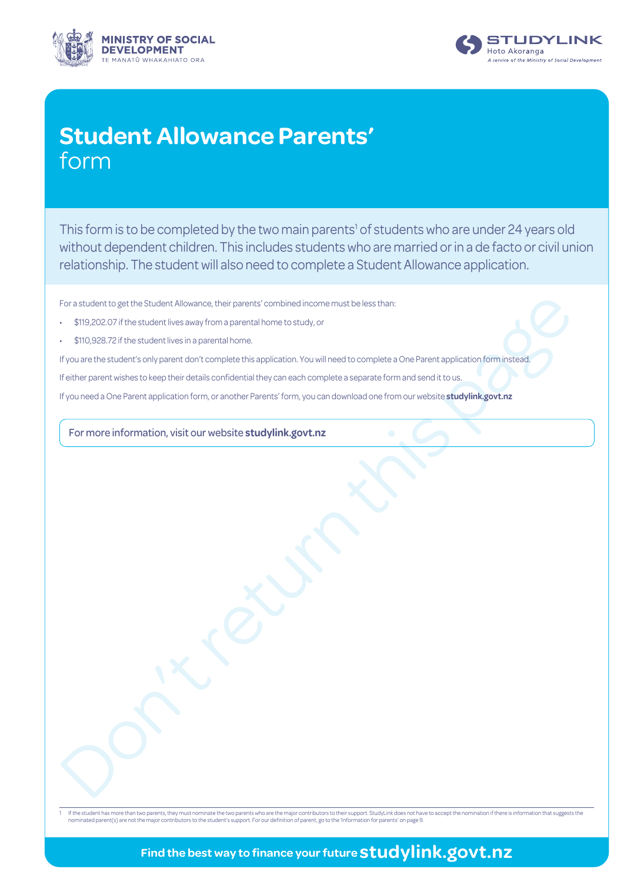



# **Student Allowance Parents'** form

This form is to be completed by the two main parents<sup>1</sup> of students who are under 24 years old without dependent children. This includes students who are married or in a de facto or civil union relationship. The student will also need to complete a Student Allowance application.

For a student to get the Student Allowance, their parents' combined income must be less than:

- \$119,202.07 if the student lives away from a parental home to study, or
- \$110,928.72 if the student lives in a parental home.

For sinuster toget the Student Allowance, their premist combined income must be less than:<br>
5 19,028 22f the subset like easily from a [pa](www.studylink.govt.nz)rental home<br>
5 19,028 22f the subset like less pair and home to study, or<br>
in the spi If you are the student's only parent don't complete this application. You will need to complete a One Parent application form instead.

If either parent wishes to keep their details confidential they can each complete a separate form and send it to us.

If you need a One Parent application form, or another Parents' form, you can download one from our website **studylink.govt.nz**

For more information, visit our website **studylink.govt.nz**

lf the student has more than two parents, they must nominate the two parents who are the major contributors to their support. StudyLink does not have to accept the nomination if there is information that suggests the stude

## **Find the best way to finance your future studylink.govt.nz**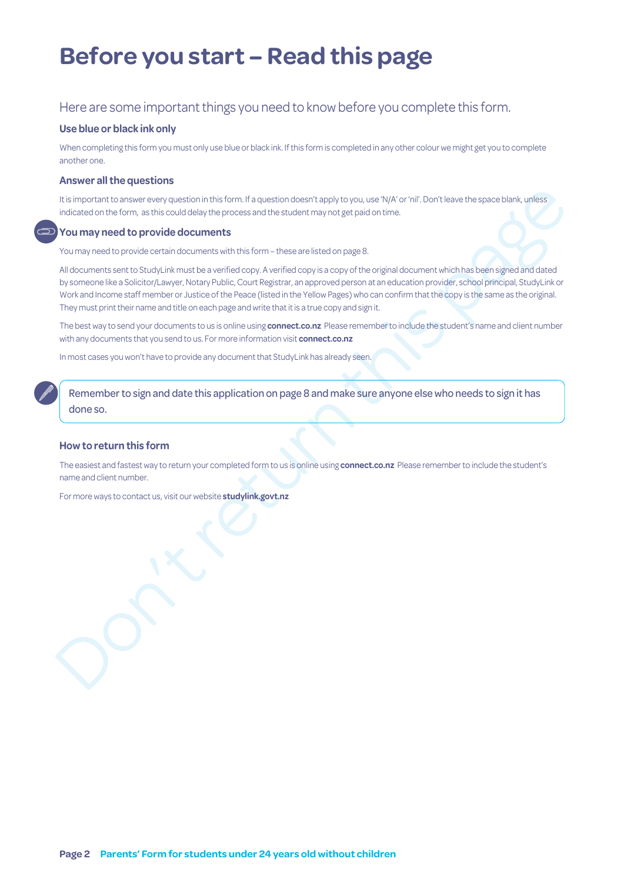# **Before you start – Read this page**

### Here are some important things you need to know before you complete this form.

#### **Use blue or black ink only**

When completing this form you must only use blue or black ink. If this form is completed in any other colour we might get you to complete another one.

#### **Answer all the questions**

It is important to answer every question in this form. If a question doesn't apply to you, use 'N/A' or 'nil'. Don't leave the space blank, unless indicated on the form, as this could delay the process and the student may not get paid on time.

#### **You may need to provide documents**

You may need to provide certain documents with this form – these are listed on page 8.

their pathod to answer every question in this form if a question doesn't apply to you, use type or init. Don't leave the space blank, unless<br>informal of the first could does necessaris and the stockent may not get a stocke All documents sent to StudyLink must be a verified copy. A verified copy is a copy of the original document which has been signed and dated by someone like a Solicitor/Lawyer, Notary Public, Court Registrar, an approved person at an education provider, school principal, StudyLink or Work and Income staff member or Justice of the Peace (listed in the Yellow Pages) who can confirm that the copy is the same as the original. They must print their name and title on each page and write that it is a true copy and sign it.

The best way to send your documents to us is online using **connect.co.nz** Please remember to include the student's name and client number with any documents that you send to us. For more information visit **connect.co.nz**

In most cases you won't have to provide any document that StudyLink has already seen.

Remember to sign and date this application on page 8 and make sure anyone else who needs to sign it has done so.

#### **How to return this form**

The easiest and fastest way to return your completed form to us is online using **connect.co.nz** Please remember to include the student's name and client number.

For more ways to contact us, visit our website **studylink.govt.nz**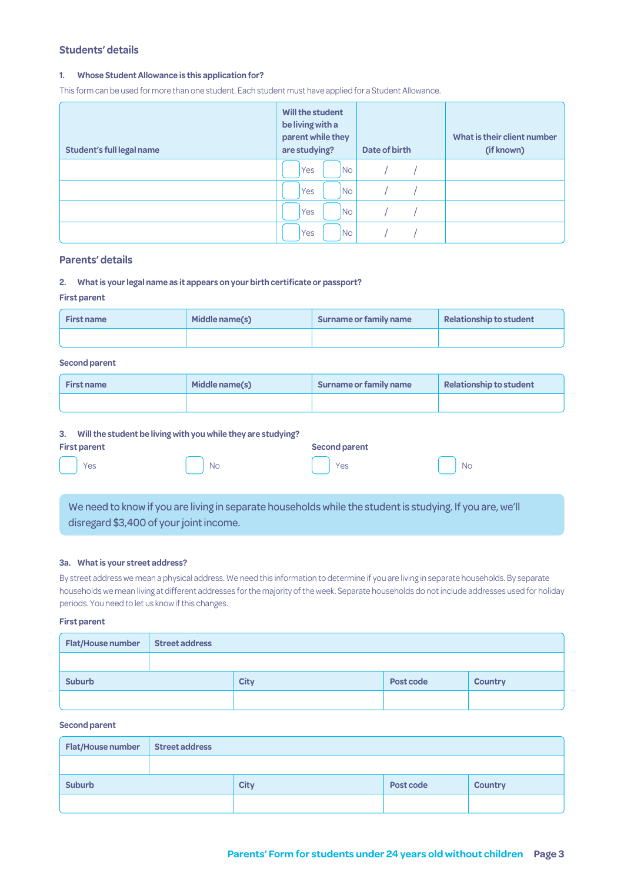#### **Students' details**

#### **1. Whose Student Allowance is this application for?**

This form can be used for more than one student. Each student must have applied for a Student Allowance.

| <b>Student's full legal name</b> | Will the student<br>be living with a<br>parent while they<br>are studying? | Date of birth | What is their client number<br>(if known) |
|----------------------------------|----------------------------------------------------------------------------|---------------|-------------------------------------------|
|                                  | N <sub>o</sub><br>Yes                                                      |               |                                           |
|                                  | N <sub>o</sub><br>Yes                                                      |               |                                           |
|                                  | <b>INo</b><br><b>Yes</b>                                                   |               |                                           |
|                                  | N <sub>o</sub><br>Yes                                                      |               |                                           |

#### **Parents' details**

#### **2. What is your legal name as it appears on your birth certificate or passport?**

#### **First parent**

| <b>First name</b> | Middle name(s) | Surname or family name | Relationship to student |
|-------------------|----------------|------------------------|-------------------------|
|                   |                |                        |                         |

#### **Second parent**

| <b>First name</b> | Middle name(s) | Surname or family name | Relationship to student |
|-------------------|----------------|------------------------|-------------------------|
|                   |                |                        |                         |

#### **3. Will the student be living with you while they are studying?**

| <b>First parent</b> | - | $\mathbf{r}$ | . . | Second parent |           |
|---------------------|---|--------------|-----|---------------|-----------|
| Yes                 |   | <b>No</b>    |     | Yes           | <b>No</b> |

We need to know if you are living in separate households while the student is studying. If you are, we'll disregard \$3,400 of your joint income.

#### **3a. What is your street address?**

By street address we mean a physical address. We need this information to determine if you are living in separate households. By separate households we mean living at different addresses for the majority of the week. Separate households do not include addresses used for holiday periods. You need to let us know if this changes.

#### **First parent**

| <b>Flat/House number</b> | <b>Street address</b> |             |           |                |
|--------------------------|-----------------------|-------------|-----------|----------------|
|                          |                       |             |           |                |
| <b>Suburb</b>            |                       | <b>City</b> | Post code | <b>Country</b> |
|                          |                       |             |           |                |

#### **Second parent**

| Flat/House number | <b>Street address</b> |             |           |                |
|-------------------|-----------------------|-------------|-----------|----------------|
|                   |                       |             |           |                |
| <b>Suburb</b>     |                       | <b>City</b> | Post code | <b>Country</b> |
|                   |                       |             |           |                |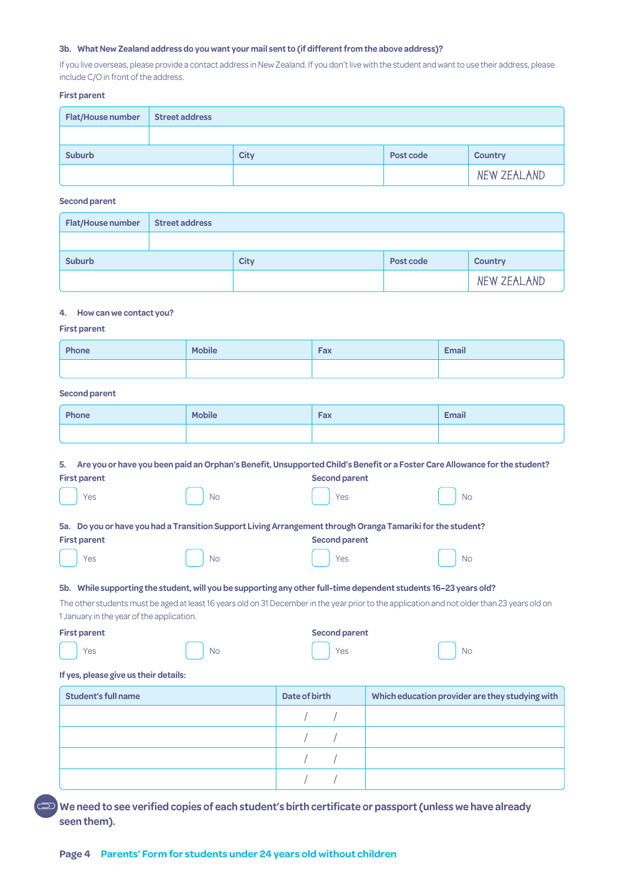#### **3b. What New Zealand address do you want your mail sent to (if different from the above address)?**

If you live overseas, please provide a contact address in New Zealand. If you don't live with the student and want to use their address, please include C/O in front of the address.

#### **First parent**

| <b>Flat/House number</b> | <b>Street address</b> |             |           |                |
|--------------------------|-----------------------|-------------|-----------|----------------|
|                          |                       |             |           |                |
| <b>Suburb</b>            |                       | <b>City</b> | Post code | <b>Country</b> |
|                          |                       |             |           | NEW ZEALAND    |

#### **Second parent**

| <b>Flat/House number</b> | <b>Street address</b> |             |           |                |
|--------------------------|-----------------------|-------------|-----------|----------------|
|                          |                       |             |           |                |
| <b>Suburb</b>            |                       | <b>City</b> | Post code | <b>Country</b> |
|                          |                       |             |           | NEW ZEALAND    |

#### **4. How can we contact you?**

#### **First parent**

| Phone | <b>Mobile</b> | Fax | <b>Email</b> |
|-------|---------------|-----|--------------|
|       |               |     |              |

#### **Second parent**

| Phone | <b>Mobile</b> | Fax | <b>Email</b> |
|-------|---------------|-----|--------------|
|       |               |     |              |

|                                                                                                                  |                                                                                                             | 5. Are you or have you been paid an Orphan's Benefit, Unsupported Child's Benefit or a Foster Care Allowance for the student? |                                                                                                                                              |    |  |
|------------------------------------------------------------------------------------------------------------------|-------------------------------------------------------------------------------------------------------------|-------------------------------------------------------------------------------------------------------------------------------|----------------------------------------------------------------------------------------------------------------------------------------------|----|--|
|                                                                                                                  | <b>First parent</b>                                                                                         |                                                                                                                               | <b>Second parent</b>                                                                                                                         |    |  |
|                                                                                                                  | Yes                                                                                                         | <b>No</b>                                                                                                                     | Yes                                                                                                                                          | No |  |
|                                                                                                                  | 5a. Do you or have you had a Transition Support Living Arrangement through Oranga Tamariki for the student? |                                                                                                                               |                                                                                                                                              |    |  |
|                                                                                                                  | <b>First parent</b>                                                                                         |                                                                                                                               | <b>Second parent</b>                                                                                                                         |    |  |
|                                                                                                                  | Yes                                                                                                         | <b>No</b>                                                                                                                     | Yes                                                                                                                                          | No |  |
| 5b. While supporting the student, will you be supporting any other full-time dependent students 16–23 years old? |                                                                                                             |                                                                                                                               |                                                                                                                                              |    |  |
|                                                                                                                  |                                                                                                             |                                                                                                                               | The other students must be aged at least 16 years old on 31 December in the year prior to the application and not older than 23 years old on |    |  |

old on 31 December in the year prior to 1 January in the year of the application.

**First parent Second parent** 

| Yes | <b>No</b> | $ $ Yes | 'No |
|-----|-----------|---------|-----|

#### **If yes, please give us their details:**

| <b>Student's full name</b> | Date of birth |  | Which education provider are they studying with |
|----------------------------|---------------|--|-------------------------------------------------|
|                            |               |  |                                                 |
|                            |               |  |                                                 |
|                            |               |  |                                                 |
|                            |               |  |                                                 |

**We need to see verified copies of each student's birth certificate or passport (unless we have already seen them).**

#### **Page 4 Parents' Form for students under 24 years old without children**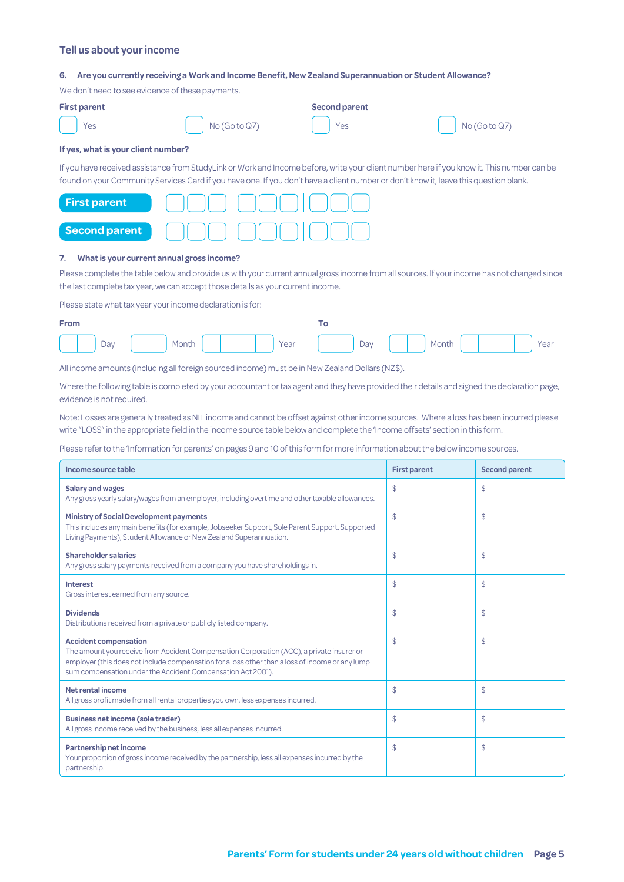#### **Tell us about your income**

#### **6. Are you currently receiving a Work and Income Benefit, New Zealand Superannuation or Student Allowance?**

We don't need to see evidence of these payments.

| <b>First parent</b> |                                                                              | <b>Second parent</b> |                         |  |
|---------------------|------------------------------------------------------------------------------|----------------------|-------------------------|--|
| Yes                 | $\begin{bmatrix} \cdot & \cdot \\ \cdot & \cdot \end{bmatrix}$ No (Go to Q7) | $\vert$ Yes          | $\bigcap$ No (Go to Q7) |  |

#### **If yes, what is your client number?**

If you have received assistance from StudyLink or Work and Income before, write your client number here if you know it. This number can be found on your Community Services Card if you have one. If you don't have a client number or don't know it, leave this question blank.

| <b>First parent</b> |  |
|---------------------|--|
| Second parent       |  |

#### **7. What is your current annual gross income?**

Please complete the table below and provide us with your current annual gross income from all sources. If your income has not changed since the last complete tax year, we can accept those details as your current income.

Please state what tax year your income declaration is for:

| <b>From</b> |                                                 |  |
|-------------|-------------------------------------------------|--|
|             | Day Nonth       Year   Day     Month       Year |  |

All income amounts (including all foreign sourced income) must be in New Zealand Dollars (NZ\$).

Where the following table is completed by your accountant or tax agent and they have provided their details and signed the declaration page, evidence is not required.

Note: Losses are generally treated as NIL income and cannot be offset against other income sources. Where a loss has been incurred please write "LOSS" in the appropriate field in the income source table below and complete the 'Income offsets' section in this form.

Please refer to the 'Information for parents' on pages 9 and 10 of this form for more information about the below income sources.

| Income source table                                                                                                                                                                                                                                                                         | <b>First parent</b> | <b>Second parent</b> |
|---------------------------------------------------------------------------------------------------------------------------------------------------------------------------------------------------------------------------------------------------------------------------------------------|---------------------|----------------------|
| <b>Salary and wages</b><br>Any gross yearly salary/wages from an employer, including overtime and other taxable allowances.                                                                                                                                                                 | \$                  | \$                   |
| <b>Ministry of Social Development payments</b><br>This includes any main benefits (for example, Jobseeker Support, Sole Parent Support, Supported<br>Living Payments), Student Allowance or New Zealand Superannuation.                                                                     | \$                  | \$                   |
| <b>Shareholder salaries</b><br>Any gross salary payments received from a company you have shareholdings in.                                                                                                                                                                                 | \$                  | \$                   |
| <b>Interest</b><br>Gross interest earned from any source.                                                                                                                                                                                                                                   | \$                  | \$                   |
| <b>Dividends</b><br>Distributions received from a private or publicly listed company.                                                                                                                                                                                                       | \$                  | \$                   |
| <b>Accident compensation</b><br>The amount you receive from Accident Compensation Corporation (ACC), a private insurer or<br>employer (this does not include compensation for a loss other than a loss of income or any lump<br>sum compensation under the Accident Compensation Act 2001). | \$                  | \$                   |
| Net rental income<br>All gross profit made from all rental properties you own, less expenses incurred.                                                                                                                                                                                      | \$                  | \$                   |
| <b>Business net income (sole trader)</b><br>All gross income received by the business, less all expenses incurred.                                                                                                                                                                          | \$                  | \$                   |
| Partnership net income<br>Your proportion of gross income received by the partnership, less all expenses incurred by the<br>partnership.                                                                                                                                                    | \$                  | \$                   |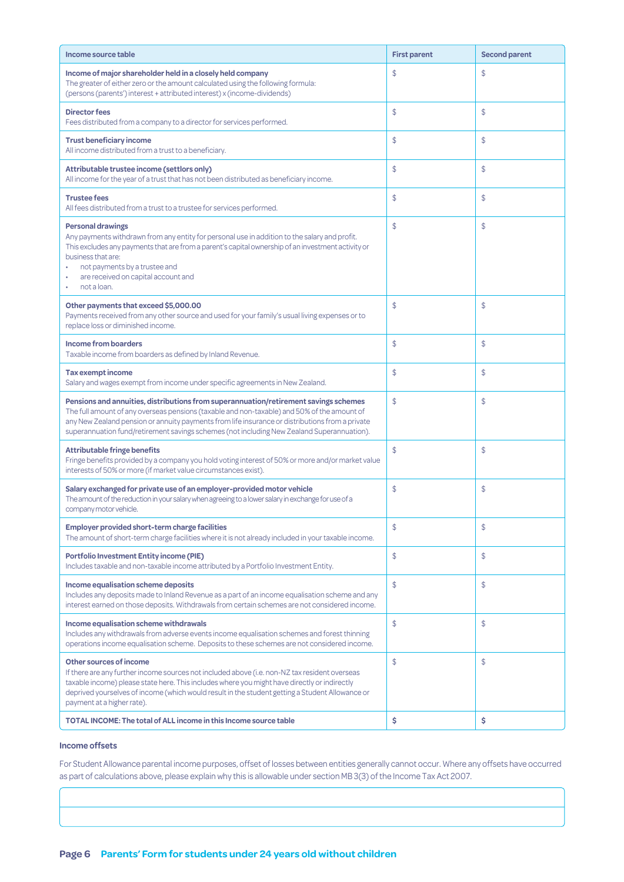| Income source table                                                                                                                                                                                                                                                                                                                                                                  | <b>First parent</b> | <b>Second parent</b> |
|--------------------------------------------------------------------------------------------------------------------------------------------------------------------------------------------------------------------------------------------------------------------------------------------------------------------------------------------------------------------------------------|---------------------|----------------------|
| Income of major shareholder held in a closely held company<br>The greater of either zero or the amount calculated using the following formula:<br>(persons (parents') interest + attributed interest) x (income-dividends)                                                                                                                                                           | \$                  | \$                   |
| <b>Director fees</b><br>Fees distributed from a company to a director for services performed.                                                                                                                                                                                                                                                                                        | \$                  | \$                   |
| <b>Trust beneficiary income</b><br>All income distributed from a trust to a beneficiary.                                                                                                                                                                                                                                                                                             | \$                  | \$                   |
| Attributable trustee income (settlors only)<br>All income for the year of a trust that has not been distributed as beneficiary income.                                                                                                                                                                                                                                               | \$                  | \$                   |
| <b>Trustee fees</b><br>All fees distributed from a trust to a trustee for services performed.                                                                                                                                                                                                                                                                                        | \$                  | \$                   |
| <b>Personal drawings</b><br>Any payments withdrawn from any entity for personal use in addition to the salary and profit.<br>This excludes any payments that are from a parent's capital ownership of an investment activity or<br>business that are:<br>not payments by a trustee and<br>are received on capital account and<br>not a loan.                                         | \$                  | \$                   |
| Other payments that exceed \$5,000.00<br>Payments received from any other source and used for your family's usual living expenses or to<br>replace loss or diminished income.                                                                                                                                                                                                        | \$                  | \$                   |
| <b>Income from boarders</b><br>Taxable income from boarders as defined by Inland Revenue.                                                                                                                                                                                                                                                                                            | \$                  | \$                   |
| <b>Tax exempt income</b><br>Salary and wages exempt from income under specific agreements in New Zealand.                                                                                                                                                                                                                                                                            | \$                  | \$                   |
| Pensions and annuities, distributions from superannuation/retirement savings schemes<br>The full amount of any overseas pensions (taxable and non-taxable) and 50% of the amount of<br>any New Zealand pension or annuity payments from life insurance or distributions from a private<br>superannuation fund/retirement savings schemes (not including New Zealand Superannuation). | \$                  | \$                   |
| <b>Attributable fringe benefits</b><br>Fringe benefits provided by a company you hold voting interest of 50% or more and/or market value<br>interests of 50% or more (if market value circumstances exist).                                                                                                                                                                          | \$                  | \$                   |
| Salary exchanged for private use of an employer-provided motor vehicle<br>The amount of the reduction in your salary when agreeing to a lower salary in exchange for use of a<br>company motor vehicle.                                                                                                                                                                              | \$                  | \$                   |
| <b>Employer provided short-term charge facilities</b><br>The amount of short-term charge facilities where it is not already included in your taxable income.                                                                                                                                                                                                                         | \$                  | \$                   |
| <b>Portfolio Investment Entity income (PIE)</b><br>Includes taxable and non-taxable income attributed by a Portfolio Investment Entity.                                                                                                                                                                                                                                              | \$                  | \$                   |
| Income equalisation scheme deposits<br>Includes any deposits made to Inland Revenue as a part of an income equalisation scheme and any<br>interest earned on those deposits. Withdrawals from certain schemes are not considered income.                                                                                                                                             | \$                  | \$                   |
| Income equalisation scheme withdrawals<br>Includes any withdrawals from adverse events income equalisation schemes and forest thinning<br>operations income equalisation scheme. Deposits to these schemes are not considered income.                                                                                                                                                | \$                  | \$                   |
| Other sources of income<br>If there are any further income sources not included above (i.e. non-NZ tax resident overseas<br>taxable income) please state here. This includes where you might have directly or indirectly<br>deprived yourselves of income (which would result in the student getting a Student Allowance or<br>payment at a higher rate).                            | \$                  | \$                   |
| TOTAL INCOME: The total of ALL income in this Income source table                                                                                                                                                                                                                                                                                                                    | \$                  | \$                   |

#### **Income offsets**

For Student Allowance parental income purposes, offset of losses between entities generally cannot occur. Where any offsets have occurred as part of calculations above, please explain why this is allowable under section MB 3(3) of the Income Tax Act 2007.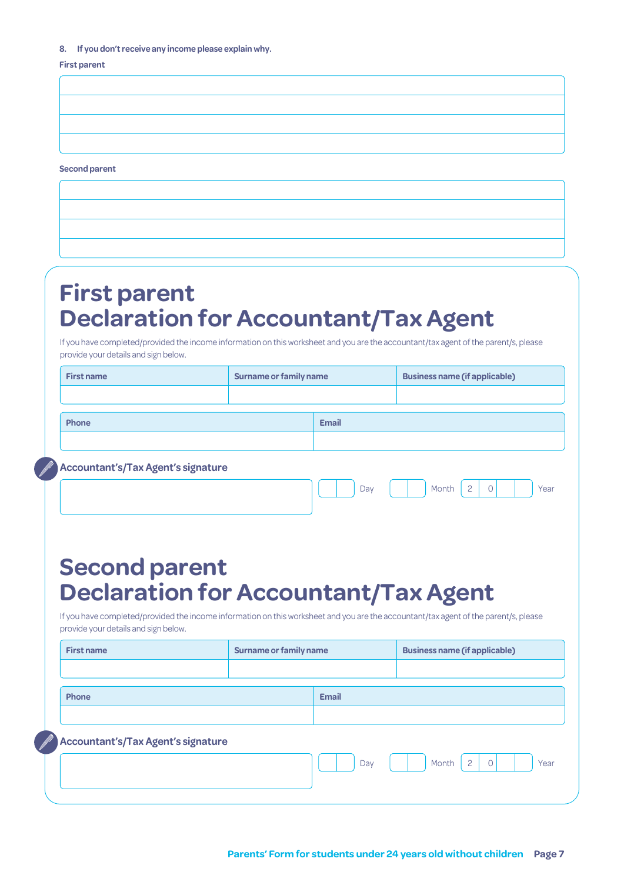#### **8. If you don't receive any income please explain why.**

#### **First parent**

**Second parent**

# **First parent Declaration for Accountant/Tax Agent**

If you have completed/provided the income information on this worksheet and you are the accountant/tax agent of the parent/s, please provide your details and sign below.

| <b>First name</b>                                                                                                                                                            | <b>Surname or family name</b> |              | <b>Business name (if applicable)</b>       |
|------------------------------------------------------------------------------------------------------------------------------------------------------------------------------|-------------------------------|--------------|--------------------------------------------|
|                                                                                                                                                                              |                               |              |                                            |
| Phone                                                                                                                                                                        |                               | <b>Email</b> |                                            |
|                                                                                                                                                                              |                               |              |                                            |
| <b>Accountant's/Tax Agent's signature</b>                                                                                                                                    |                               |              |                                            |
|                                                                                                                                                                              |                               | Day          | $\overline{c}$<br>Month<br>$\circ$<br>Year |
|                                                                                                                                                                              |                               |              |                                            |
|                                                                                                                                                                              |                               |              |                                            |
| <b>Second parent</b>                                                                                                                                                         |                               |              |                                            |
|                                                                                                                                                                              |                               |              |                                            |
| <b>Declaration for Accountant/Tax Agent</b>                                                                                                                                  |                               |              |                                            |
| If you have completed/provided the income information on this worksheet and you are the accountant/tax agent of the parent/s, please<br>provide your details and sign below. |                               |              |                                            |
| <b>First name</b>                                                                                                                                                            |                               |              |                                            |
|                                                                                                                                                                              | <b>Surname or family name</b> |              | <b>Business name (if applicable)</b>       |
|                                                                                                                                                                              |                               |              |                                            |
| Phone                                                                                                                                                                        |                               | <b>Email</b> |                                            |
|                                                                                                                                                                              |                               |              |                                            |
| <b>Accountant's/Tax Agent's signature</b>                                                                                                                                    |                               |              |                                            |
|                                                                                                                                                                              |                               | Dav          | $\overline{c}$<br>$\circ$<br>Month<br>Year |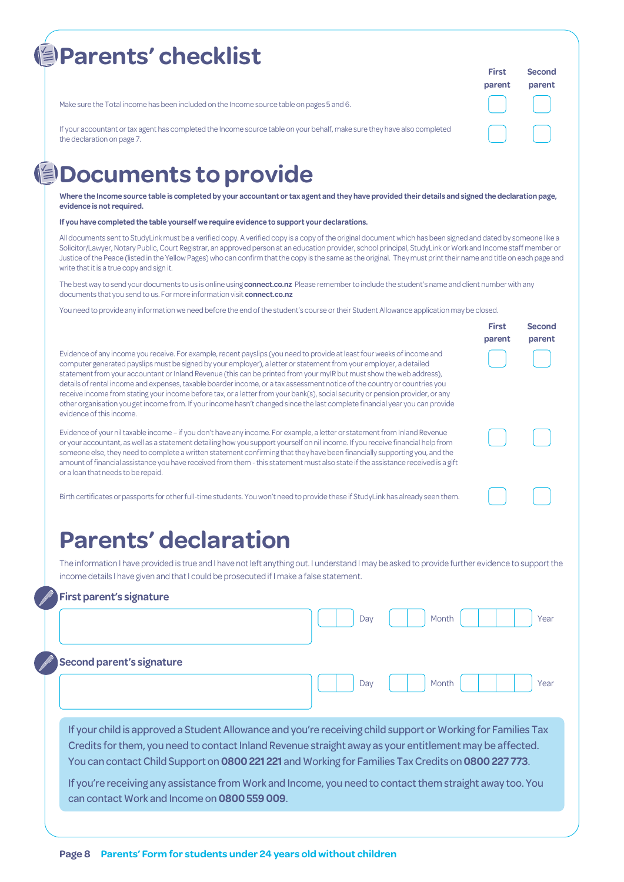| <b>Parents' checklist</b>                                                                                                                              | <b>First</b><br>parent | Second<br>parent |
|--------------------------------------------------------------------------------------------------------------------------------------------------------|------------------------|------------------|
| Make sure the Total income has been included on the Income source table on pages 5 and 6.                                                              |                        |                  |
| If your accountant or tax agent has completed the Income source table on your behalf, make sure they have also completed<br>the declaration on page 7. |                        |                  |

# **但Documents to provide**

**Where the Income source table is completed by your accountant or tax agent and they have provided their details and signed the declaration page, evidence is not required.**

**If you have completed the table yourself we require evidence to support your declarations.** 

All documents sent to StudyLink must be a verified copy. A verified copy is a copy of the original document which has been signed and dated by someone like a Solicitor/Lawyer, Notary Public, Court Registrar, an approved person at an education provider, school principal, StudyLink or Work and Income staff member or Justice of the Peace (listed in the Yellow Pages) who can confirm that the copy is the same as the original. They must print their name and title on each page and write that it is a true copy and sign it.

**First** 

**Second parent**

The best way to send your documents to us is online using **connect.co.nz** Please remember to include the student's name and client number with any documents that you send to us. For more information visit **connect.co.nz**

You need to provide any information we need before the end of the student's course or their Student Allowance application may be closed.

|                                                                                                                                                                                                                                                                                                                                                                                                                                                                                                                                                                                                                                                                                                                                                                                                  | parent |
|--------------------------------------------------------------------------------------------------------------------------------------------------------------------------------------------------------------------------------------------------------------------------------------------------------------------------------------------------------------------------------------------------------------------------------------------------------------------------------------------------------------------------------------------------------------------------------------------------------------------------------------------------------------------------------------------------------------------------------------------------------------------------------------------------|--------|
| Evidence of any income you receive. For example, recent payslips (you need to provide at least four weeks of income and<br>computer generated payslips must be signed by your employer), a letter or statement from your employer, a detailed<br>statement from your accountant or Inland Revenue (this can be printed from your myIR but must show the web address),<br>details of rental income and expenses, taxable boarder income, or a tax assessment notice of the country or countries you<br>receive income from stating your income before tax, or a letter from your bank(s), social security or pension provider, or any<br>other organisation you get income from. If your income hasn't changed since the last complete financial year you can provide<br>evidence of this income. |        |
| Evidence of your nil taxable income – if you don't have any income. For example, a letter or statement from Inland Revenue                                                                                                                                                                                                                                                                                                                                                                                                                                                                                                                                                                                                                                                                       |        |

or your accountant, as well as a statement detailing how you support yourself on nil income. If you receive financial help from someone else, they need to complete a written statement confirming that they have been financially supporting you, and the amount of financial assistance you have received from them - this statement must also state if the assistance received is a gift or a loan that needs to be repaid.

Birth certificates or passports for other full-time students. You won't need to provide these if StudyLink has already seen them.

# **Parents' declaration**

The information I have provided is true and I have not left anything out. I understand I may be asked to provide further evidence to support the income details I have given and that I could be prosecuted if I make a false statement.

#### **First parent's signature**

|                                                                                                                                                                                                                                                                                                                                                                                                                                                                                            | Day | Month | Year |
|--------------------------------------------------------------------------------------------------------------------------------------------------------------------------------------------------------------------------------------------------------------------------------------------------------------------------------------------------------------------------------------------------------------------------------------------------------------------------------------------|-----|-------|------|
| <b>Second parent's signature</b>                                                                                                                                                                                                                                                                                                                                                                                                                                                           | Dav | Month | Year |
| If your child is approved a Student Allowance and you're receiving child support or Working for Families Tax<br>Credits for them, you need to contact Inland Revenue straight away as your entitlement may be affected.<br>You can contact Child Support on 0800 221 221 and Working for Families Tax Credits on 0800 227 773.<br>If you're receiving any assistance from Work and Income, you need to contact them straight away too. You<br>can contact Work and Income on 0800 559 009. |     |       |      |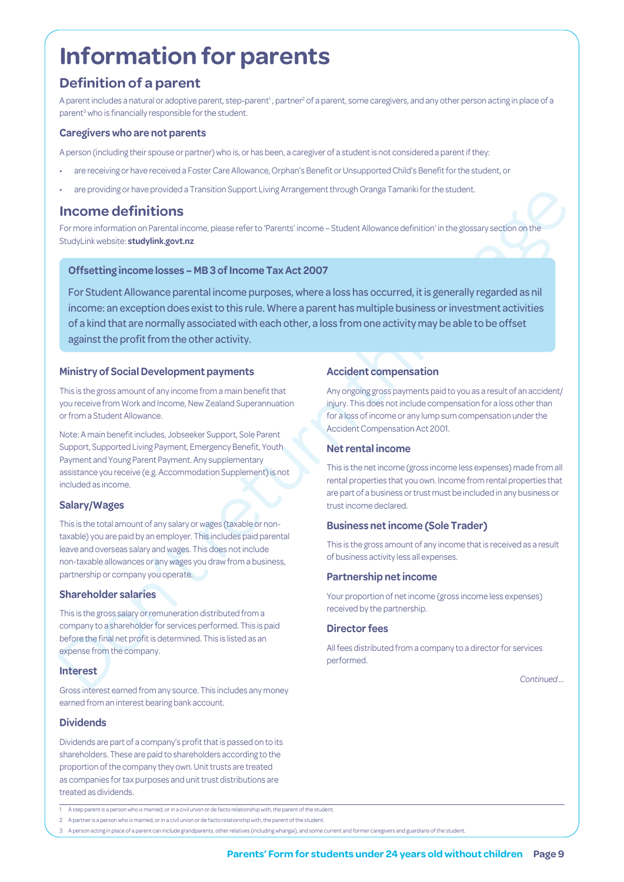# **Information for parents**

### **Definition of a parent**

A parent includes a natural or adoptive parent, step-parent<sup>1</sup>, partner<sup>2</sup> of a parent, some caregivers, and any other person acting in place of a parent<sup>3</sup> who is financially responsible for the student.

#### **Caregivers who are not parents**

A person (including their spouse or partner) who is, or has been, a caregiver of a student is not considered a parent if they:

- are receiving or have received a Foster Care Allowance, Orphan's Benefit or Unsupported Child's Benefit for the student, or
- are providing or have provided a Transition Support Living Arrangement through Oranga Tamariki for the student.

### **Income definitions**

For more information on Parental income, please refer to 'Parents' income – Student Allowance definition' in the glossary section on the StudyLink website: **studylink.govt.nz**

#### **Offsetting income losses – MB 3 of Income Tax Act 2007**

Energy of the method of the method is a method of the method of the method of the method of the method of the method of the method of the method of the method of the method of the method of the method of the method of the For Student Allowance parental income purposes, where a loss has occurred, it is generally regarded as nil income: an exception does exist to this rule. Where a parent has multiple business or investment activities of a kind that are normally associated with each other, a loss from one activity may be able to be offset against the profit from the other activity.

#### **Ministry of Social Development payments**

This is the gross amount of any income from a main benefit that you receive from Work and Income, New Zealand Superannuation or from a Student Allowance.

Note: A main benefit includes, Jobseeker Support, Sole Parent Support, Supported Living Payment, Emergency Benefit, Youth Payment and Young Parent Payment. Any supplementary assistance you receive (e.g. Accommodation Supplement) is not included as income.

#### **Salary/Wages**

This is the total amount of any salary or wages (taxable or nontaxable) you are paid by an employer. This includes paid parental leave and overseas salary and wages. This does not include non-taxable allowances or any wages you draw from a business, partnership or company you operate.

#### **Shareholder salaries**

This is the gross salary or remuneration distributed from a company to a shareholder for services performed. This is paid before the final net profit is determined. This is listed as an expense from the company.

#### **Interest**

Gross interest earned from any source. This includes any money earned from an interest bearing bank account.

#### **Dividends**

Dividends are part of a company's profit that is passed on to its shareholders. These are paid to shareholders according to the proportion of the company they own. Unit trusts are treated as companies for tax purposes and unit trust distributions are treated as dividends.

#### **Accident compensation**

Any ongoing gross payments paid to you as a result of an accident/ injury. This does not include compensation for a loss other than for a loss of income or any lump sum compensation under the Accident Compensation Act 2001.

#### **Net rental income**

This is the net income (gross income less expenses) made from all rental properties that you own. Income from rental properties that are part of a business or trust must be included in any business or trust income declared.

#### **Business net income (Sole Trader)**

This is the gross amount of any income that is received as a result of business activity less all expenses.

#### **Partnership net income**

Your proportion of net income (gross income less expenses) received by the partnership.

#### **Director fees**

All fees distributed from a company to a director for services performed.

*Continued …*

<sup>1</sup> A step parent is a person who is married, or in a civil union or de facto relationship with, the parent of the student.

<sup>2</sup> A partner is a person who is married, or in a civil union or de facto relationship with, the parent of the student.

<sup>3</sup> A person acting in place of a parent can include grandparents, other relatives (including whangai), and some current and former caregivers and guardians of the student.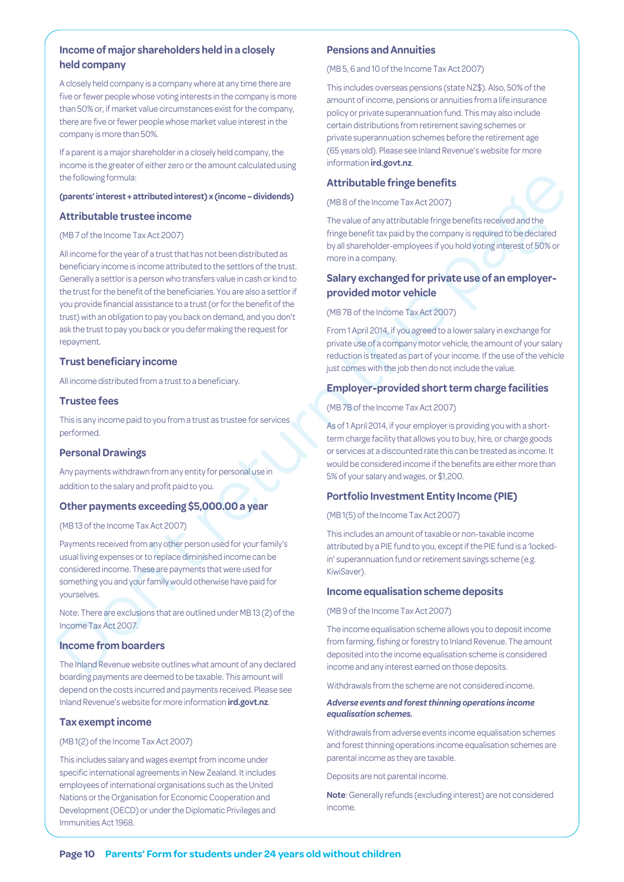### **Income of major shareholders held in a closely held company**

A closely held company is a company where at any time there are five or fewer people whose voting interests in the company is more than 50% or, if market value circumstances exist for the company, there are five or fewer people whose market value interest in the company is more than 50%.

If a parent is a major shareholder in a closely held company, the income is the greater of either zero or the amount calculated using the following formula:

#### **(parents' interest + attributed interest) x (income – dividends)**

#### **Attributable trustee income**

#### (MB 7 of the Income Tax Act 2007)

the following formula:<br> **Attributable fringe benefits**<br> **Conserts interest attributable fringe benefits (2027)**<br> **Conserts in the fringe benefits (2027)**<br> **Conserts in the fringe benefits (2027)**<br> **Conserts in the fringe** All income for the year of a trust that has not been distributed as beneficiary income is income attributed to the settlors of the trust. Generally a settlor is a person who transfers value in cash or kind to the trust for the benefit of the beneficiaries. You are also a settlor if you provide financial assistance to a trust (or for the benefit of the trust) with an obligation to pay you back on demand, and you don't ask the trust to pay you back or you defer making the request for repayment.

### **Trust beneficiary income**

All income distributed from a trust to a beneficiary.

#### **Trustee fees**

This is any income paid to you from a trust as trustee for services performed.

#### **Personal Drawings**

Any payments withdrawn from any entity for personal use in addition to the salary and profit paid to you.

#### **Other payments exceeding \$5,000.00 a year**

(MB 13 of the Income Tax Act 2007)

Payments received from any other person used for your family's usual living expenses or to replace diminished income can be considered income. These are payments that were used for something you and your family would otherwise have paid for yourselves.

Note: There are exclusions that are outlined under MB 13 (2) of the Income Tax Act 2007.

#### **Income from boarders**

The Inland Revenue website outlines what amount of any declared boarding payments are deemed to be taxable. This amount will depend on the costs incurred and payments received. Please see Inland Revenue's website for more information **ird.govt.nz**.

#### **Tax exempt income**

#### (MB 1(2) of the Income Tax Act 2007)

This includes salary and wages exempt from income under specific international agreements in New Zealand. It includes employees of international organisations such as the United Nations or the Organisation for Economic Cooperation and Development (OECD) or under the Diplomatic Privileges and Immunities Act 1968.

#### **Pensions and Annuities**

(MB 5, 6 and 10 of the Income Tax Act 2007)

This includes overseas pensions (state NZ\$). Also, 50% of the amount of income, pensions or annuities from a life insurance policy or private superannuation fund. This may also include certain distributions from retirement saving schemes or private superannuation schemes before the retirement age (65 years old). Please see Inland Revenue's website for more information **ird.govt.nz**.

#### **Attributable fringe benefits**

(MB 8 of the Income Tax Act 2007)

The value of any attributable fringe benefits received and the fringe benefit tax paid by the company is required to be declared by all shareholder-employees if you hold voting interest of 50% or more in a company.

### **Salary exchanged for private use of an employerprovided motor vehicle**

#### (MB 7B of the Income Tax Act 2007)

From 1 April 2014, if you agreed to a lower salary in exchange for private use of a company motor vehicle, the amount of your salary reduction is treated as part of your income. If the use of the vehicle just comes with the job then do not include the value.

#### **Employer-provided short term charge facilities**

(MB 7B of the Income Tax Act 2007)

As of 1 April 2014, if your employer is providing you with a shortterm charge facility that allows you to buy, hire, or charge goods or services at a discounted rate this can be treated as income. It would be considered income if the benefits are either more than 5% of your salary and wages, or \$1,200.

#### **Portfolio Investment Entity Income (PIE)**

(MB 1(5) of the Income Tax Act 2007)

This includes an amount of taxable or non-taxable income attributed by a PIE fund to you, except if the PIE fund is a 'lockedin' superannuation fund or retirement savings scheme (e.g. KiwiSaver).

#### **Income equalisation scheme deposits**

(MB 9 of the Income Tax Act 2007)

The income equalisation scheme allows you to deposit income from farming, fishing or forestry to Inland Revenue. The amount deposited into the income equalisation scheme is considered income and any interest earned on those deposits.

Withdrawals from the scheme are not considered income.

#### *Adverse events and forest thinning operations income equalisation schemes.*

Withdrawals from adverse events income equalisation schemes and forest thinning operations income equalisation schemes are parental income as they are taxable.

Deposits are not parental income.

**Note**: Generally refunds (excluding interest) are not considered income.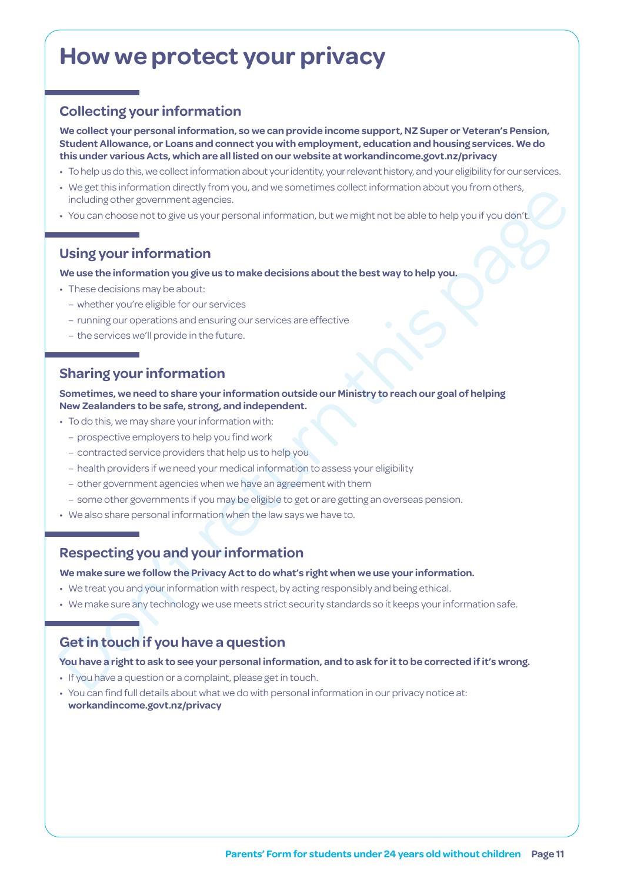# **How we protect your privacy**

### **Collecting your information**

**We collect your personal information, so we can provide income support, NZ Super or Veteran's Pension, Student Allowance, or Loans and connect you with employment, education and housing services. We do this under various Acts, which are all listed on our website at [workandincome.govt.nz/p](http://www.workandincome.govt.nz/about-work-and-income/privacy-notice/index.html)rivacy**

- To help us do this, we collect information about your identity, your relevant history, and your eligibility for our services.
- We get this information directly from you, and we sometimes collect information about you from others, including other government agencies.
- You can choose not to give us your personal information, but we might not be able to help you if you don't.

### **Using your information**

#### **We use the information you give us to make decisions about the best way to help you.**

- These decisions may be about:
	- whether you're eligible for our services
	- running our operations and ensuring our services are effective
	- the services we'll provide in the future.

### **Sharing your information**

- weget must improve the return verture of the way, we have the controlled to be corrected if it's wrong<br>
- it's us the return of the controlled to the section of the controlled to the controlled to the proof the section o **Sometimes, we need to share your information outside our Ministry to reach our goal of helping New Zealanders to be safe, strong, and independent.**

- To do this, we may share your information with:
	- prospective employers to help you find work
	- contracted service providers that help us to help you
	- health providers if we need your medical information to assess your eligibility
	- other government agencies when we have an agreement with them
	- some other governments if you may be eligible to get or are getting an overseas pension.
- We also share personal information when the law says we have to.

### **Respecting you and your information**

**We make sure we follow the Privacy Act to do what's right when we use your information.**

- We treat you and your information with respect, by acting responsibly and being ethical.
- We make sure any technology we use meets strict security standards so it keeps your information safe.

### **Get in touch if you have a question**

#### **You have a right to ask to see your personal information, and to ask for it to be corrected if it's wrong.**

- If you have a question or a complaint, please get in touch.
- You can find full details about what we do with personal information in our privacy notice at: **[workandincome.govt.nz/p](http://www.workandincome.govt.nz/about-work-and-income/privacy-notice/index.html)rivacy**